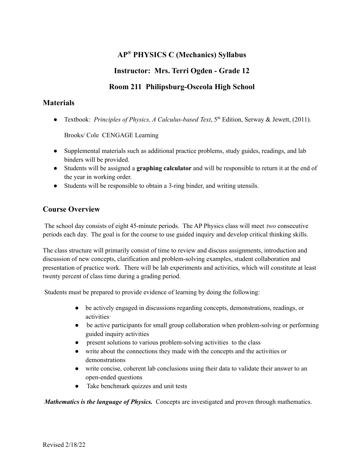# **AP ® PHYSICS C (Mechanics) Syllabus**

## **Instructor: Mrs. Terri Ogden - Grade 12**

## **Room 211 Philipsburg-Osceola High School**

## **Materials**

● Textbook: *Principles of Physics, A Calculus-based Text*, 5 th Edition, Serway & Jewett, (2011).

Brooks/ Cole CENGAGE Learning

- Supplemental materials such as additional practice problems, study guides, readings, and lab binders will be provided.
- Students will be assigned a **graphing calculator** and will be responsible to return it at the end of the year in working order.
- Students will be responsible to obtain a 3-ring binder, and writing utensils.

## **Course Overview**

The school day consists of eight 45-minute periods. The AP Physics class will meet *two* consecutive periods each day. The goal is for the course to use guided inquiry and develop critical thinking skills.

The class structure will primarily consist of time to review and discuss assignments, introduction and discussion of new concepts, clarification and problem-solving examples, student collaboration and presentation of practice work. There will be lab experiments and activities, which will constitute at least twenty percent of class time during a grading period.

Students must be prepared to provide evidence of learning by doing the following:

- be actively engaged in discussions regarding concepts, demonstrations, readings, or activities·
- be active participants for small group collaboration when problem-solving or performing guided inquiry activities
- present solutions to various problem-solving activities to the class
- write about the connections they made with the concepts and the activities or demonstrations
- write concise, coherent lab conclusions using their data to validate their answer to an open-ended questions
- Take benchmark quizzes and unit tests

*Mathematics is the language of Physics.* Concepts are investigated and proven through mathematics.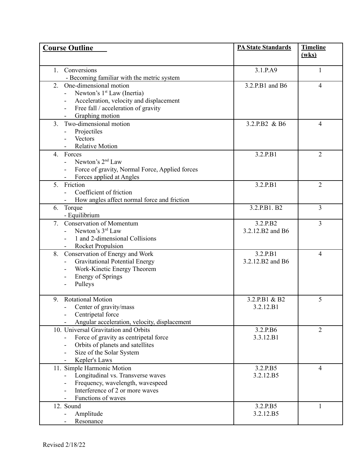| <b>Course Outline</b>                                                                                                                                                                      | <b>PA State Standards</b>    | <b>Timeline</b><br>(wks) |
|--------------------------------------------------------------------------------------------------------------------------------------------------------------------------------------------|------------------------------|--------------------------|
| Conversions<br>1.<br>- Becoming familiar with the metric system                                                                                                                            | 3.1.P.A9                     | $\mathbf{1}$             |
| One-dimensional motion<br>$2_{\cdot}$<br>Newton's 1 <sup>st</sup> Law (Inertia)<br>Acceleration, velocity and displacement<br>Free fall / acceleration of gravity<br>÷,<br>Graphing motion | 3.2.P.B1 and B6              | $\overline{4}$           |
| Two-dimensional motion<br>3 <sub>1</sub><br>Projectiles<br>Vectors<br><b>Relative Motion</b>                                                                                               | 3.2.P.B2 & B6                | 4                        |
| $4_{\cdot}$<br>Forces<br>Newton's 2 <sup>nd</sup> Law<br>Force of gravity, Normal Force, Applied forces<br>Forces applied at Angles                                                        | 3.2.P.B1                     | $\overline{2}$           |
| 5. Friction<br>Coefficient of friction<br>How angles affect normal force and friction                                                                                                      | 3.2.P.B1                     | $\overline{2}$           |
| Torque<br>6.<br>- Equilibrium                                                                                                                                                              | 3.2.P.B1. B2                 | $\overline{3}$           |
| 7. Conservation of Momentum<br>Newton's 3rd Law<br>1 and 2-dimensional Collisions<br><b>Rocket Propulsion</b>                                                                              | 3.2.P.B2<br>3.2.12.B2 and B6 | $\overline{3}$           |
| Conservation of Energy and Work<br>8.<br><b>Gravitational Potential Energy</b><br>Work-Kinetic Energy Theorem<br><b>Energy of Springs</b><br>Pulleys                                       | 3.2.P.B1<br>3.2.12.B2 and B6 | 4                        |
| <b>Rotational Motion</b><br>9.<br>Center of gravity/mass<br>Centripetal force<br>Angular acceleration, velocity, displacement                                                              | 3.2.P.B1 & B2<br>3.2.12.B1   | 5                        |
| 10. Universal Gravitation and Orbits<br>Force of gravity as centripetal force<br>Orbits of planets and satellites<br>Size of the Solar System<br>Kepler's Laws                             | 3.2.P.B6<br>3.3.12.B1        | $\overline{2}$           |
| 11. Simple Harmonic Motion<br>Longitudinal vs. Transverse waves<br>Frequency, wavelength, wavespeed<br>Interference of 2 or more waves<br>Functions of waves                               | 3.2.P.B5<br>3.2.12.B5        | 4                        |
| 12. Sound<br>Amplitude<br>Resonance                                                                                                                                                        | 3.2.P.B5<br>3.2.12.B5        | 1                        |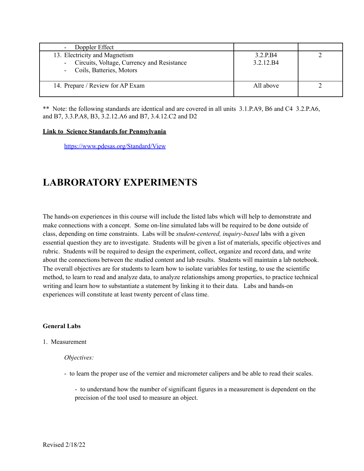| - Doppler Effect                                                                                            |                       |  |
|-------------------------------------------------------------------------------------------------------------|-----------------------|--|
| 13. Electricity and Magnetism<br>- Circuits, Voltage, Currency and Resistance<br>- Coils, Batteries, Motors | 3.2 P.B4<br>3.2.12.B4 |  |
| 14. Prepare / Review for AP Exam                                                                            | All above             |  |

\*\* Note: the following standards are identical and are covered in all units 3.1.P.A9, B6 and C4 3.2.P.A6, and B7, 3.3.P.A8, B3, 3.2.12.A6 and B7, 3.4.12.C2 and D2

#### **Link to Science Standards for Pennsylvania**

<https://www.pdesas.org/Standard/View>

# **LABRORATORY EXPERIMENTS**

The hands-on experiences in this course will include the listed labs which will help to demonstrate and make connections with a concept. Some on-line simulated labs will be required to be done outside of class, depending on time constraints. Labs will be *student-centered, inquiry-based* labs with a given essential question they are to investigate. Students will be given a list of materials, specific objectives and rubric. Students will be required to design the experiment, collect, organize and record data, and write about the connections between the studied content and lab results. Students will maintain a lab notebook. The overall objectives are for students to learn how to isolate variables for testing, to use the scientific method, to learn to read and analyze data, to analyze relationships among properties, to practice technical writing and learn how to substantiate a statement by linking it to their data. Labs and hands-on experiences will constitute at least twenty percent of class time.

#### **General Labs**

#### 1. Measurement

#### *Objectives:*

- to learn the proper use of the vernier and micrometer calipers and be able to read their scales.
	- to understand how the number of significant figures in a measurement is dependent on the precision of the tool used to measure an object.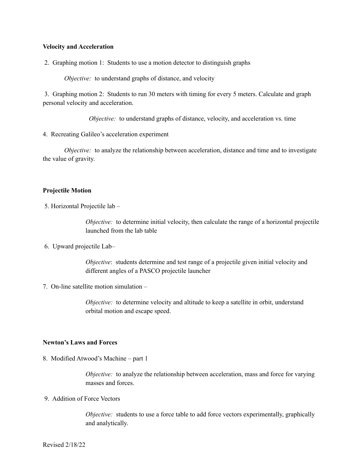#### **Velocity and Acceleration**

2. Graphing motion 1: Students to use a motion detector to distinguish graphs

*Objective:* to understand graphs of distance, and velocity

3. Graphing motion 2: Students to run 30 meters with timing for every 5 meters. Calculate and graph personal velocity and acceleration.

*Objective:* to understand graphs of distance, velocity, and acceleration vs. time

4. Recreating Galileo's acceleration experiment

*Objective:* to analyze the relationship between acceleration, distance and time and to investigate the value of gravity.

#### **Projectile Motion**

5. Horizontal Projectile lab –

*Objective:* to determine initial velocity, then calculate the range of a horizontal projectile launched from the lab table

6. Upward projectile Lab–

*Objective*: students determine and test range of a projectile given initial velocity and different angles of a PASCO projectile launcher

7. On-line satellite motion simulation –

*Objective:* to determine velocity and altitude to keep a satellite in orbit, understand orbital motion and escape speed.

#### **Newton's Laws and Forces**

8. Modified Atwood's Machine – part 1

*Objective:* to analyze the relationship between acceleration, mass and force for varying masses and forces.

9. Addition of Force Vectors

*Objective:* students to use a force table to add force vectors experimentally, graphically and analytically.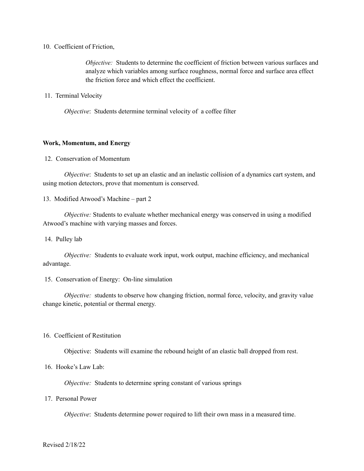#### 10. Coefficient of Friction,

*Objective:* Students to determine the coefficient of friction between various surfaces and analyze which variables among surface roughness, normal force and surface area effect the friction force and which effect the coefficient.

11. Terminal Velocity

*Objective*: Students determine terminal velocity of a coffee filter

#### **Work, Momentum, and Energy**

#### 12. Conservation of Momentum

*Objective*: Students to set up an elastic and an inelastic collision of a dynamics cart system, and using motion detectors, prove that momentum is conserved.

13. Modified Atwood's Machine – part 2

*Objective:* Students to evaluate whether mechanical energy was conserved in using a modified Atwood's machine with varying masses and forces.

14. Pulley lab

*Objective:* Students to evaluate work input, work output, machine efficiency, and mechanical advantage.

#### 15. Conservation of Energy: On-line simulation

*Objective:* students to observe how changing friction, normal force, velocity, and gravity value change kinetic, potential or thermal energy.

#### 16. Coefficient of Restitution

Objective: Students will examine the rebound height of an elastic ball dropped from rest.

### 16. Hooke's Law Lab:

*Objective:* Students to determine spring constant of various springs

#### 17. Personal Power

*Objective*: Students determine power required to lift their own mass in a measured time.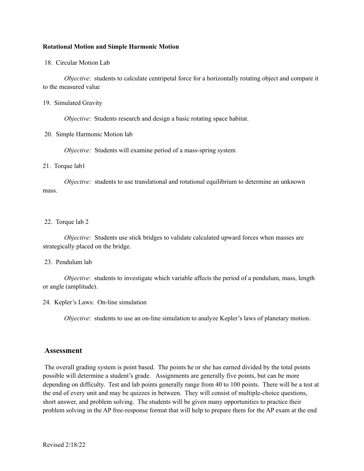#### **Rotational Motion and Simple Harmonic Motion**

18. Circular Motion Lab

*Objective*: students to calculate centripetal force for a horizontally rotating object and compare it to the measured value

#### 19. Simulated Gravity

*Objective*: Students research and design a basic rotating space habitat.

#### 20. Simple Harmonic Motion lab

*Objective:* Students will examine period of a mass-spring system

#### 21. Torque lab1

*Objective:* students to use translational and rotational equilibrium to determine an unknown mass.

#### 22. Torque lab 2

*Objective:* Students use stick bridges to validate calculated upward forces when masses are strategically placed on the bridge.

#### 23. Pendulum lab

*Objective*: students to investigate which variable affects the period of a pendulum, mass, length or angle (amplitude).

#### 24. Kepler's Laws: On-line simulation

*Objective*: students to use an on-line simulation to analyze Kepler's laws of planetary motion.

#### **Assessment**

The overall grading system is point based. The points he or she has earned divided by the total points possible will determine a student's grade. Assignments are generally five points, but can be more depending on difficulty. Test and lab points generally range from 40 to 100 points. There will be a test at the end of every unit and may be quizzes in between. They will consist of multiple-choice questions, short answer, and problem solving. The students will be given many opportunities to practice their problem solving in the AP free-response format that will help to prepare them for the AP exam at the end